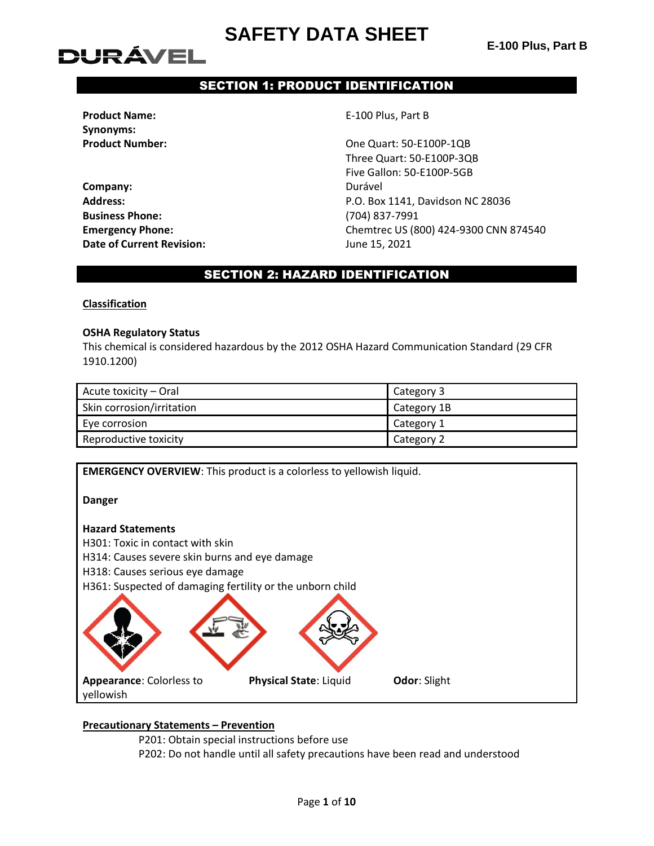# DUR ÁVEL

# SECTION 1: PRODUCT IDENTIFICATION

**Product Name:** E-100 Plus, Part B **Synonyms:**

**Company:** Durável **Business Phone:** (704) 837-7991 **Date of Current Revision:** June 15, 2021

**Product Number:**  $\qquad \qquad \qquad \qquad \qquad$  One Quart: 50-E100P-1QB Three Quart: 50-E100P-3QB Five Gallon: 50-E100P-5GB **Address:** P.O. Box 1141, Davidson NC 28036 **Emergency Phone:** Chemtrec US (800) 424-9300 CNN 874540

### SECTION 2: HAZARD IDENTIFICATION

#### **Classification**

#### **OSHA Regulatory Status**

This chemical is considered hazardous by the 2012 OSHA Hazard Communication Standard (29 CFR 1910.1200)

| Acute toxicity – Oral     | Category 3  |
|---------------------------|-------------|
| Skin corrosion/irritation | Category 1B |
| Eye corrosion             | Category 1  |
| Reproductive toxicity     | Category 2  |



### **Precautionary Statements – Prevention**

P201: Obtain special instructions before use

P202: Do not handle until all safety precautions have been read and understood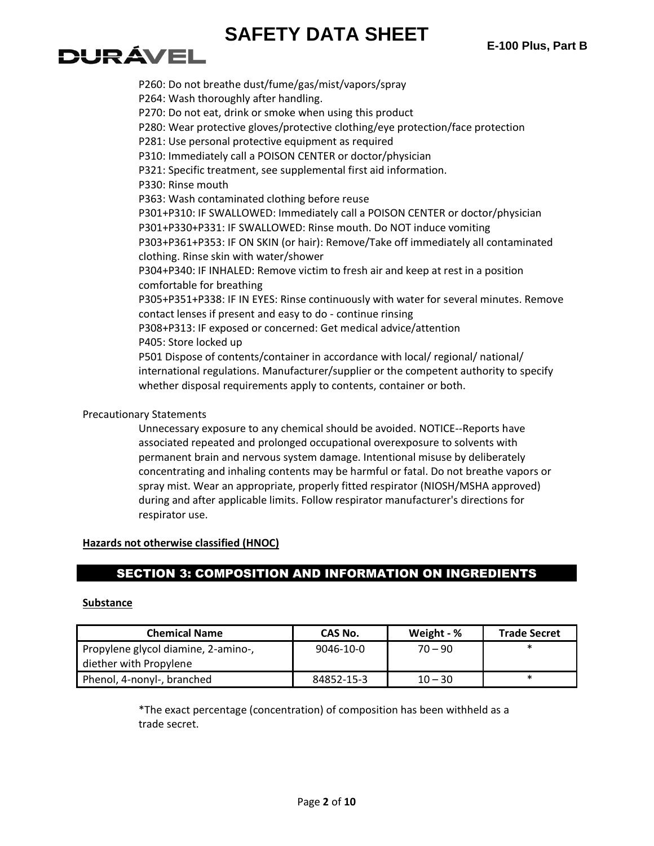# **DURÁVEL**

P260: Do not breathe dust/fume/gas/mist/vapors/spray P264: Wash thoroughly after handling. P270: Do not eat, drink or smoke when using this product P280: Wear protective gloves/protective clothing/eye protection/face protection P281: Use personal protective equipment as required P310: Immediately call a POISON CENTER or doctor/physician P321: Specific treatment, see supplemental first aid information. P330: Rinse mouth P363: Wash contaminated clothing before reuse P301+P310: IF SWALLOWED: Immediately call a POISON CENTER or doctor/physician P301+P330+P331: IF SWALLOWED: Rinse mouth. Do NOT induce vomiting P303+P361+P353: IF ON SKIN (or hair): Remove/Take off immediately all contaminated clothing. Rinse skin with water/shower P304+P340: IF INHALED: Remove victim to fresh air and keep at rest in a position comfortable for breathing P305+P351+P338: IF IN EYES: Rinse continuously with water for several minutes. Remove contact lenses if present and easy to do - continue rinsing P308+P313: IF exposed or concerned: Get medical advice/attention P405: Store locked up P501 Dispose of contents/container in accordance with local/ regional/ national/ international regulations. Manufacturer/supplier or the competent authority to specify whether disposal requirements apply to contents, container or both.

### Precautionary Statements

Unnecessary exposure to any chemical should be avoided. NOTICE--Reports have associated repeated and prolonged occupational overexposure to solvents with permanent brain and nervous system damage. Intentional misuse by deliberately concentrating and inhaling contents may be harmful or fatal. Do not breathe vapors or spray mist. Wear an appropriate, properly fitted respirator (NIOSH/MSHA approved) during and after applicable limits. Follow respirator manufacturer's directions for respirator use.

### **Hazards not otherwise classified (HNOC)**

### SECTION 3: COMPOSITION AND INFORMATION ON INGREDIENTS

### **Substance**

| <b>Chemical Name</b>                | CAS No.    | Weight - % | <b>Trade Secret</b> |
|-------------------------------------|------------|------------|---------------------|
| Propylene glycol diamine, 2-amino-, | 9046-10-0  | $70 - 90$  |                     |
| diether with Propylene              |            |            |                     |
| Phenol, 4-nonyl-, branched          | 84852-15-3 | $10 - 30$  | $\ast$              |

\*The exact percentage (concentration) of composition has been withheld as a trade secret.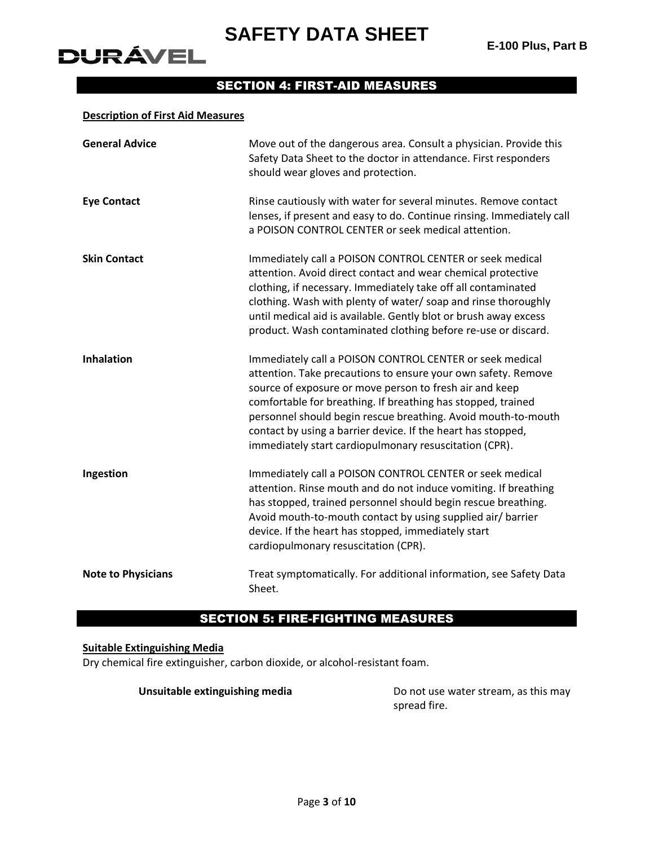

# **DURÁVEL**

# SECTION 4: FIRST-AID MEASURES

#### **Description of First Aid Measures**

| <b>General Advice</b>     | Move out of the dangerous area. Consult a physician. Provide this<br>Safety Data Sheet to the doctor in attendance. First responders<br>should wear gloves and protection.                                                                                                                                                                                                                                                                      |
|---------------------------|-------------------------------------------------------------------------------------------------------------------------------------------------------------------------------------------------------------------------------------------------------------------------------------------------------------------------------------------------------------------------------------------------------------------------------------------------|
| <b>Eye Contact</b>        | Rinse cautiously with water for several minutes. Remove contact<br>lenses, if present and easy to do. Continue rinsing. Immediately call<br>a POISON CONTROL CENTER or seek medical attention.                                                                                                                                                                                                                                                  |
| <b>Skin Contact</b>       | Immediately call a POISON CONTROL CENTER or seek medical<br>attention. Avoid direct contact and wear chemical protective<br>clothing, if necessary. Immediately take off all contaminated<br>clothing. Wash with plenty of water/soap and rinse thoroughly<br>until medical aid is available. Gently blot or brush away excess<br>product. Wash contaminated clothing before re-use or discard.                                                 |
| <b>Inhalation</b>         | Immediately call a POISON CONTROL CENTER or seek medical<br>attention. Take precautions to ensure your own safety. Remove<br>source of exposure or move person to fresh air and keep<br>comfortable for breathing. If breathing has stopped, trained<br>personnel should begin rescue breathing. Avoid mouth-to-mouth<br>contact by using a barrier device. If the heart has stopped,<br>immediately start cardiopulmonary resuscitation (CPR). |
| Ingestion                 | Immediately call a POISON CONTROL CENTER or seek medical<br>attention. Rinse mouth and do not induce vomiting. If breathing<br>has stopped, trained personnel should begin rescue breathing.<br>Avoid mouth-to-mouth contact by using supplied air/ barrier<br>device. If the heart has stopped, immediately start<br>cardiopulmonary resuscitation (CPR).                                                                                      |
| <b>Note to Physicians</b> | Treat symptomatically. For additional information, see Safety Data<br>Sheet.                                                                                                                                                                                                                                                                                                                                                                    |

## SECTION 5: FIRE-FIGHTING MEASURES

#### **Suitable Extinguishing Media**

Dry chemical fire extinguisher, carbon dioxide, or alcohol-resistant foam.

**Unsuitable extinguishing media** Do not use water stream, as this may spread fire.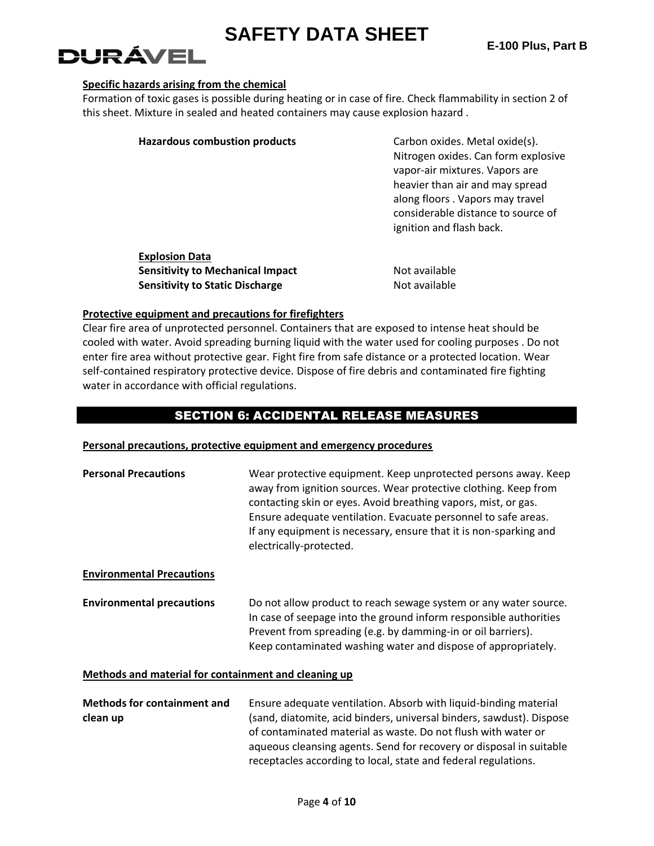# DURÁVEL

### **Specific hazards arising from the chemical**

Formation of toxic gases is possible during heating or in case of fire. Check flammability in section 2 of this sheet. Mixture in sealed and heated containers may cause explosion hazard .

| <b>Hazardous combustion products</b>                             | Carbon oxides. Metal oxide(s).<br>Nitrogen oxides. Can form explosive<br>vapor-air mixtures. Vapors are<br>heavier than air and may spread<br>along floors. Vapors may travel<br>considerable distance to source of<br>ignition and flash back. |
|------------------------------------------------------------------|-------------------------------------------------------------------------------------------------------------------------------------------------------------------------------------------------------------------------------------------------|
| <b>Explosion Data</b><br><b>Sensitivity to Mechanical Impact</b> | Not available                                                                                                                                                                                                                                   |

### **Protective equipment and precautions for firefighters**

Clear fire area of unprotected personnel. Containers that are exposed to intense heat should be cooled with water. Avoid spreading burning liquid with the water used for cooling purposes . Do not enter fire area without protective gear. Fight fire from safe distance or a protected location. Wear self-contained respiratory protective device. Dispose of fire debris and contaminated fire fighting water in accordance with official regulations.

**Sensitivity to Static Discharge** Not available

### SECTION 6: ACCIDENTAL RELEASE MEASURES

### **Personal precautions, protective equipment and emergency procedures**

| <b>Personal Precautions</b>                          | Wear protective equipment. Keep unprotected persons away. Keep<br>away from ignition sources. Wear protective clothing. Keep from<br>contacting skin or eyes. Avoid breathing vapors, mist, or gas.<br>Ensure adequate ventilation. Evacuate personnel to safe areas.<br>If any equipment is necessary, ensure that it is non-sparking and<br>electrically-protected. |
|------------------------------------------------------|-----------------------------------------------------------------------------------------------------------------------------------------------------------------------------------------------------------------------------------------------------------------------------------------------------------------------------------------------------------------------|
| <b>Environmental Precautions</b>                     |                                                                                                                                                                                                                                                                                                                                                                       |
| <b>Environmental precautions</b>                     | Do not allow product to reach sewage system or any water source.<br>In case of seepage into the ground inform responsible authorities<br>Prevent from spreading (e.g. by damming-in or oil barriers).<br>Keep contaminated washing water and dispose of appropriately.                                                                                                |
| Methods and material for containment and cleaning up |                                                                                                                                                                                                                                                                                                                                                                       |
| <b>Methods for containment and</b>                   | Ensure adequate ventilation. Absorb with liquid-binding material                                                                                                                                                                                                                                                                                                      |

**clean up** (sand, diatomite, acid binders, universal binders, sawdust). Dispose of contaminated material as waste. Do not flush with water or aqueous cleansing agents. Send for recovery or disposal in suitable receptacles according to local, state and federal regulations.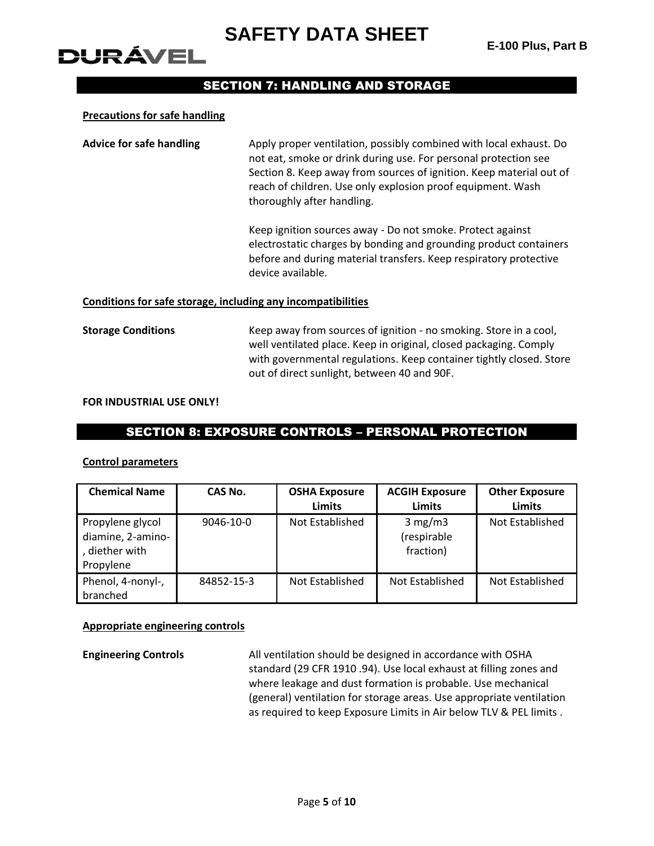# DURÁVEL

### SECTION 7: HANDLING AND STORAGE

#### **Precautions for safe handling**

| Apply proper ventilation, possibly combined with local exhaust. Do  |
|---------------------------------------------------------------------|
| not eat, smoke or drink during use. For personal protection see     |
| Section 8. Keep away from sources of ignition. Keep material out of |
| reach of children. Use only explosion proof equipment. Wash         |
| thoroughly after handling.                                          |
|                                                                     |

Keep ignition sources away - Do not smoke. Protect against electrostatic charges by bonding and grounding product containers before and during material transfers. Keep respiratory protective device available.

#### **Conditions for safe storage, including any incompatibilities**

**Storage Conditions** Keep away from sources of ignition - no smoking. Store in a cool, well ventilated place. Keep in original, closed packaging. Comply with governmental regulations. Keep container tightly closed. Store out of direct sunlight, between 40 and 90F.

#### **FOR INDUSTRIAL USE ONLY!**

### SECTION 8: EXPOSURE CONTROLS – PERSONAL PROTECTION

#### **Control parameters**

| <b>Chemical Name</b>                                                 | CAS No.    | <b>OSHA Exposure</b><br><b>Limits</b> | <b>ACGIH Exposure</b><br><b>Limits</b> | <b>Other Exposure</b><br>Limits |
|----------------------------------------------------------------------|------------|---------------------------------------|----------------------------------------|---------------------------------|
| Propylene glycol<br>diamine, 2-amino-<br>, diether with<br>Propylene | 9046-10-0  | Not Established                       | 3 mg/m3<br>(respirable<br>fraction)    | Not Established                 |
| Phenol, 4-nonyl-,<br>branched                                        | 84852-15-3 | Not Established                       | Not Established                        | Not Established                 |

### **Appropriate engineering controls**

**Engineering Controls** All ventilation should be designed in accordance with OSHA standard (29 CFR 1910 .94). Use local exhaust at filling zones and where leakage and dust formation is probable. Use mechanical (general) ventilation for storage areas. Use appropriate ventilation as required to keep Exposure Limits in Air below TLV & PEL limits .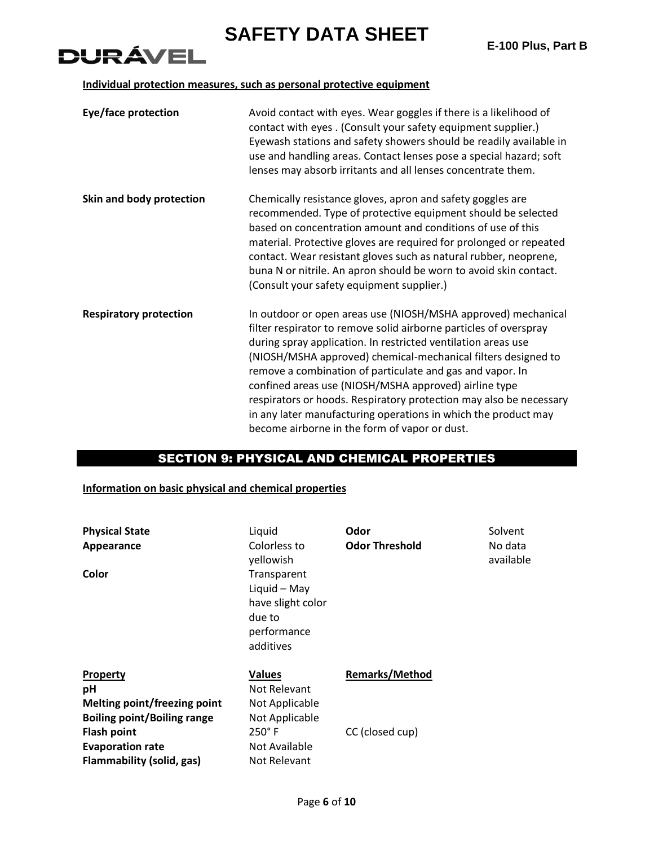# **DURÁVEL**

### **Individual protection measures, such as personal protective equipment**

| Eye/face protection           | Avoid contact with eyes. Wear goggles if there is a likelihood of<br>contact with eyes. (Consult your safety equipment supplier.)<br>Eyewash stations and safety showers should be readily available in<br>use and handling areas. Contact lenses pose a special hazard; soft<br>lenses may absorb irritants and all lenses concentrate them.                                                                                                                                                                                                                                       |
|-------------------------------|-------------------------------------------------------------------------------------------------------------------------------------------------------------------------------------------------------------------------------------------------------------------------------------------------------------------------------------------------------------------------------------------------------------------------------------------------------------------------------------------------------------------------------------------------------------------------------------|
| Skin and body protection      | Chemically resistance gloves, apron and safety goggles are<br>recommended. Type of protective equipment should be selected<br>based on concentration amount and conditions of use of this<br>material. Protective gloves are required for prolonged or repeated<br>contact. Wear resistant gloves such as natural rubber, neoprene,<br>buna N or nitrile. An apron should be worn to avoid skin contact.<br>(Consult your safety equipment supplier.)                                                                                                                               |
| <b>Respiratory protection</b> | In outdoor or open areas use (NIOSH/MSHA approved) mechanical<br>filter respirator to remove solid airborne particles of overspray<br>during spray application. In restricted ventilation areas use<br>(NIOSH/MSHA approved) chemical-mechanical filters designed to<br>remove a combination of particulate and gas and vapor. In<br>confined areas use (NIOSH/MSHA approved) airline type<br>respirators or hoods. Respiratory protection may also be necessary<br>in any later manufacturing operations in which the product may<br>become airborne in the form of vapor or dust. |

### SECTION 9: PHYSICAL AND CHEMICAL PROPERTIES

### **Information on basic physical and chemical properties**

| <b>Physical State</b>               | Liquid                                                                                 | Odor                  | Solvent              |
|-------------------------------------|----------------------------------------------------------------------------------------|-----------------------|----------------------|
| Appearance                          | Colorless to<br>yellowish                                                              | <b>Odor Threshold</b> | No data<br>available |
| Color                               | Transparent<br>Liquid - May<br>have slight color<br>due to<br>performance<br>additives |                       |                      |
| <b>Property</b>                     | <b>Values</b>                                                                          | <b>Remarks/Method</b> |                      |
| рH                                  | Not Relevant                                                                           |                       |                      |
| <b>Melting point/freezing point</b> | Not Applicable                                                                         |                       |                      |
| <b>Boiling point/Boiling range</b>  | Not Applicable                                                                         |                       |                      |
| <b>Flash point</b>                  | $250^\circ$ F                                                                          | CC (closed cup)       |                      |
| <b>Evaporation rate</b>             | Not Available                                                                          |                       |                      |
| Flammability (solid, gas)           | Not Relevant                                                                           |                       |                      |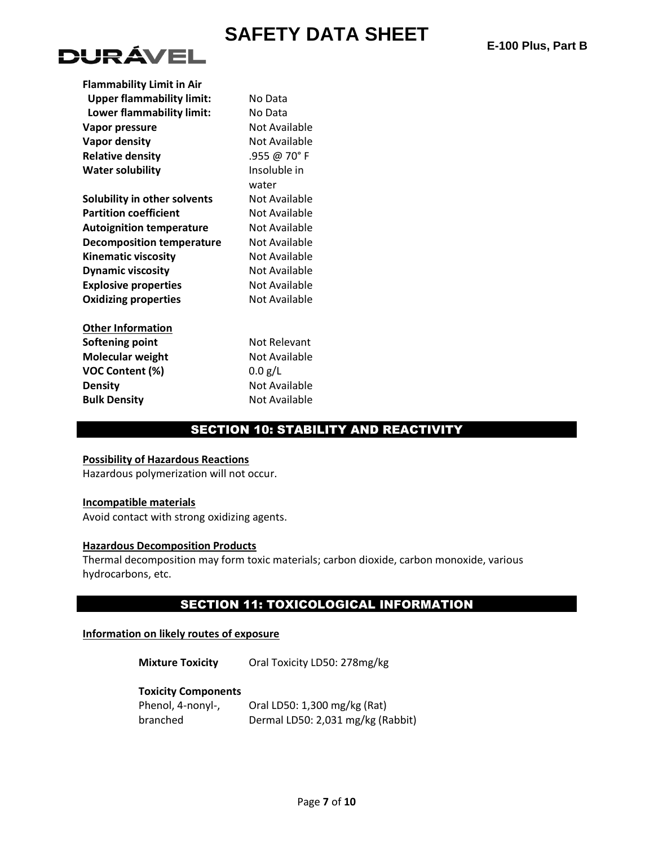

| <b>Flammability Limit in Air</b> |               |
|----------------------------------|---------------|
| <b>Upper flammability limit:</b> | No Data       |
| Lower flammability limit:        | No Data       |
| Vapor pressure                   | Not Available |
| Vapor density                    | Not Available |
| <b>Relative density</b>          | .955 @ 70° F  |
| <b>Water solubility</b>          | Insoluble in  |
|                                  | water         |
| Solubility in other solvents     | Not Available |
| <b>Partition coefficient</b>     | Not Available |
| <b>Autoignition temperature</b>  | Not Available |
| Decomposition temperature        | Not Available |
| <b>Kinematic viscosity</b>       | Not Available |
| <b>Dynamic viscosity</b>         | Not Available |
| <b>Explosive properties</b>      | Not Available |
| <b>Oxidizing properties</b>      | Not Available |

**Other Information Softening point** Not Relevant **Molecular weight** Not Available **VOC Content (%)** 0.0 g/L **Density** Not Available **Bulk Density Not Available** 

### SECTION 10: STABILITY AND REACTIVITY

#### **Possibility of Hazardous Reactions**

Hazardous polymerization will not occur.

#### **Incompatible materials**

Avoid contact with strong oxidizing agents.

### **Hazardous Decomposition Products**

Thermal decomposition may form toxic materials; carbon dioxide, carbon monoxide, various hydrocarbons, etc.

### SECTION 11: TOXICOLOGICAL INFORMATION

#### **Information on likely routes of exposure**

**Mixture Toxicity** Oral Toxicity LD50: 278mg/kg

#### **Toxicity Components**

| Phenol, 4-nonyl-, | Oral LD50: 1,300 mg/kg (Rat)      |
|-------------------|-----------------------------------|
| branched          | Dermal LD50: 2,031 mg/kg (Rabbit) |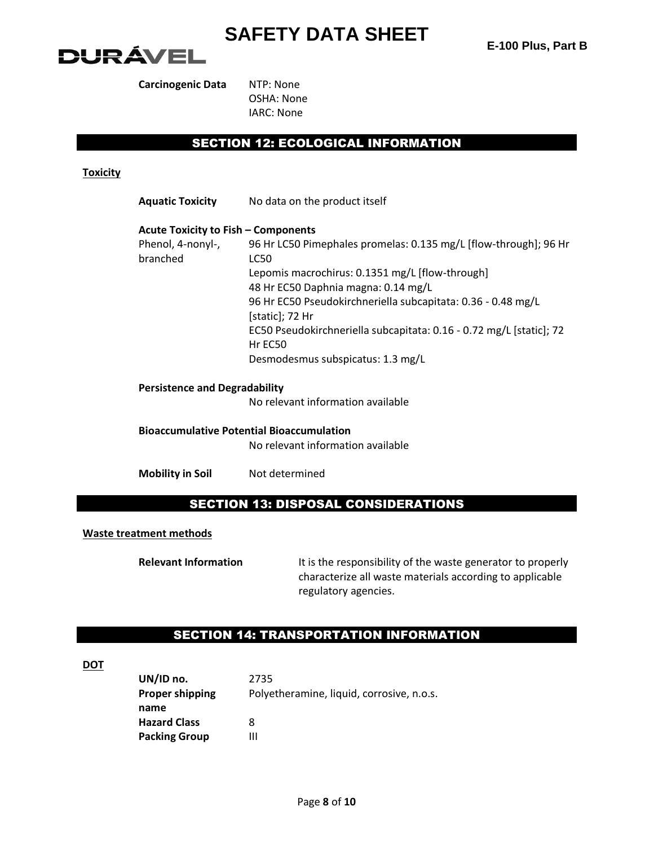

**Carcinogenic Data** NTP: None

OSHA: None IARC: None

## SECTION 12: ECOLOGICAL INFORMATION

### **Toxicity**

| <b>Aquatic Toxicity</b>                    | No data on the product itself                                                          |
|--------------------------------------------|----------------------------------------------------------------------------------------|
| <b>Acute Toxicity to Fish – Components</b> |                                                                                        |
| Phenol, 4-nonyl-,<br>branched              | 96 Hr LC50 Pimephales promelas: 0.135 mg/L [flow-through]; 96 Hr<br>LC50               |
|                                            | Lepomis macrochirus: 0.1351 mg/L [flow-through]<br>48 Hr EC50 Daphnia magna: 0.14 mg/L |
|                                            | 96 Hr EC50 Pseudokirchneriella subcapitata: 0.36 - 0.48 mg/L<br>[static]; 72 Hr        |
|                                            | EC50 Pseudokirchneriella subcapitata: 0.16 - 0.72 mg/L [static]; 72<br>Hr EC50         |
|                                            | Desmodesmus subspicatus: 1.3 mg/L                                                      |
| <b>Persistence and Degradability</b>       |                                                                                        |
|                                            | No relevant information available                                                      |
|                                            | <b>Bioaccumulative Potential Bioaccumulation</b>                                       |
|                                            | No relevant information available                                                      |

**Mobility in Soil** Not determined

### SECTION 13: DISPOSAL CONSIDERATIONS

### **Waste treatment methods**

**Relevant Information** It is the responsibility of the waste generator to properly characterize all waste materials according to applicable regulatory agencies.

### SECTION 14: TRANSPORTATION INFORMATION

**DOT**

| UN/ID no.              | 2735                                      |
|------------------------|-------------------------------------------|
| <b>Proper shipping</b> | Polyetheramine, liquid, corrosive, n.o.s. |
| name                   |                                           |
| <b>Hazard Class</b>    | 8                                         |
| <b>Packing Group</b>   | Ш                                         |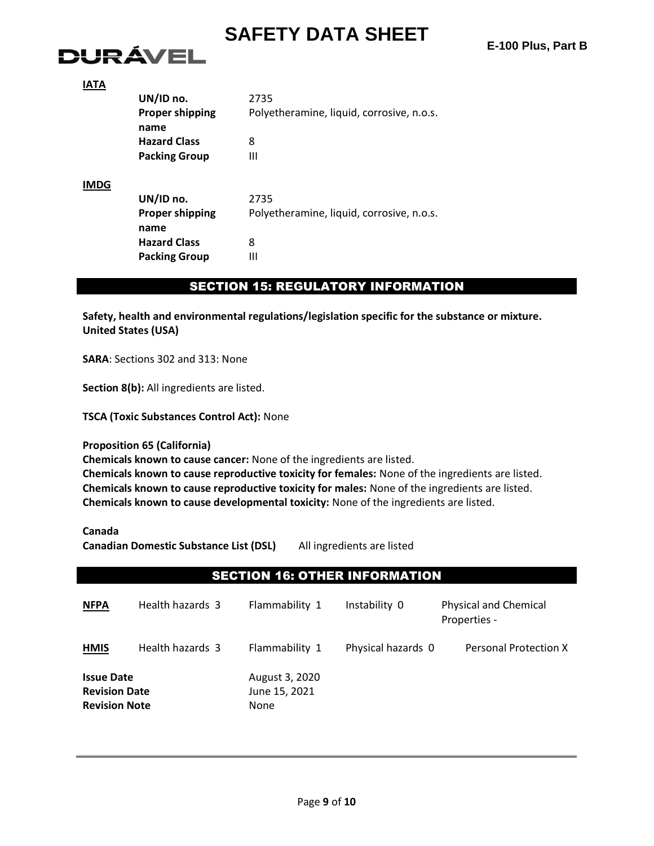# DURÁVEL

| . .<br> |  |
|---------|--|

|             | UN/ID no.              | 2735                                      |  |  |
|-------------|------------------------|-------------------------------------------|--|--|
|             | <b>Proper shipping</b> | Polyetheramine, liquid, corrosive, n.o.s. |  |  |
|             | name                   |                                           |  |  |
|             | <b>Hazard Class</b>    | 8                                         |  |  |
|             | <b>Packing Group</b>   | Ш                                         |  |  |
| <b>IMDG</b> |                        |                                           |  |  |
|             | UN/ID no.              | 2735                                      |  |  |
|             | <b>Proper shipping</b> | Polyetheramine, liquid, corrosive, n.o.s. |  |  |
|             | name                   |                                           |  |  |
|             | <b>Hazard Class</b>    | 8                                         |  |  |
|             | <b>Packing Group</b>   | Ш                                         |  |  |

### SECTION 15: REGULATORY INFORMATION

**Safety, health and environmental regulations/legislation specific for the substance or mixture. United States (USA)**

**SARA**: Sections 302 and 313: None

**Section 8(b):** All ingredients are listed.

**TSCA (Toxic Substances Control Act):** None

### **Proposition 65 (California)**

**Chemicals known to cause cancer:** None of the ingredients are listed.

**Chemicals known to cause reproductive toxicity for females:** None of the ingredients are listed. **Chemicals known to cause reproductive toxicity for males:** None of the ingredients are listed. **Chemicals known to cause developmental toxicity:** None of the ingredients are listed.

**Canada**

**Canadian Domestic Substance List (DSL)** All ingredients are listed

### SECTION 16: OTHER INFORMATION

| <b>NFPA</b>                                                       | Health hazards 3 | Flammability 1                                 | Instability 0      | <b>Physical and Chemical</b><br>Properties - |
|-------------------------------------------------------------------|------------------|------------------------------------------------|--------------------|----------------------------------------------|
| <b>HMIS</b>                                                       | Health hazards 3 | Flammability 1                                 | Physical hazards 0 | <b>Personal Protection X</b>                 |
| <b>Issue Date</b><br><b>Revision Date</b><br><b>Revision Note</b> |                  | August 3, 2020<br>June 15, 2021<br><b>None</b> |                    |                                              |